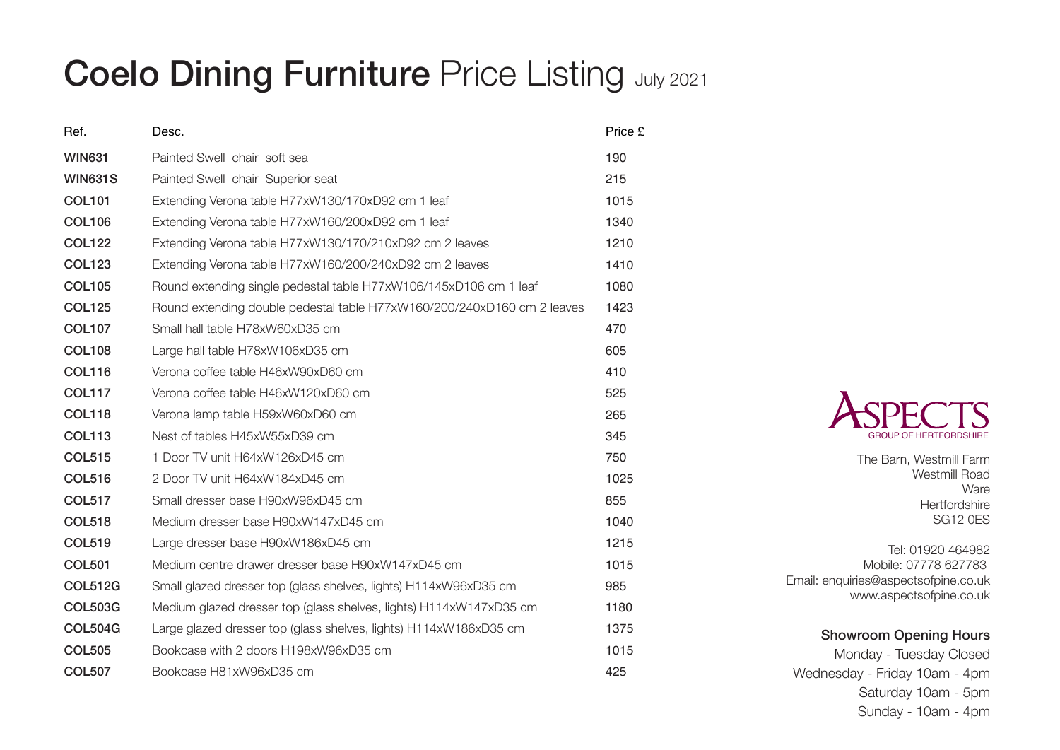## **Coelo Dining Furniture Price Listing July 2021**

| Ref.           | Desc.                                                                   | Price £ |
|----------------|-------------------------------------------------------------------------|---------|
| <b>WIN631</b>  | Painted Swell chair soft sea                                            | 190     |
| <b>WIN631S</b> | Painted Swell chair Superior seat                                       | 215     |
| <b>COL101</b>  | Extending Verona table H77xW130/170xD92 cm 1 leaf                       | 1015    |
| <b>COL106</b>  | Extending Verona table H77xW160/200xD92 cm 1 leaf                       | 1340    |
| <b>COL122</b>  | Extending Verona table H77xW130/170/210xD92 cm 2 leaves                 | 1210    |
| <b>COL123</b>  | Extending Verona table H77xW160/200/240xD92 cm 2 leaves                 | 1410    |
| <b>COL105</b>  | Round extending single pedestal table H77xW106/145xD106 cm 1 leaf       | 1080    |
| <b>COL125</b>  | Round extending double pedestal table H77xW160/200/240xD160 cm 2 leaves | 1423    |
| <b>COL107</b>  | Small hall table H78xW60xD35 cm                                         | 470     |
| <b>COL108</b>  | Large hall table H78xW106xD35 cm                                        | 605     |
| <b>COL116</b>  | Verona coffee table H46xW90xD60 cm                                      | 410     |
| <b>COL117</b>  | Verona coffee table H46xW120xD60 cm                                     | 525     |
| <b>COL118</b>  | Verona lamp table H59xW60xD60 cm                                        | 265     |
| <b>COL113</b>  | Nest of tables H45xW55xD39 cm                                           | 345     |
| <b>COL515</b>  | 1 Door TV unit H64xW126xD45 cm                                          | 750     |
| <b>COL516</b>  | 2 Door TV unit H64xW184xD45 cm                                          | 1025    |
| <b>COL517</b>  | Small dresser base H90xW96xD45 cm                                       | 855     |
| <b>COL518</b>  | Medium dresser base H90xW147xD45 cm                                     | 1040    |
| <b>COL519</b>  | Large dresser base H90xW186xD45 cm                                      | 1215    |
| <b>COL501</b>  | Medium centre drawer dresser base H90xW147xD45 cm                       | 1015    |
| <b>COL512G</b> | Small glazed dresser top (glass shelves, lights) H114xW96xD35 cm        | 985     |
| <b>COL503G</b> | Medium glazed dresser top (glass shelves, lights) H114xW147xD35 cm      | 1180    |
| <b>COL504G</b> | Large glazed dresser top (glass shelves, lights) H114xW186xD35 cm       | 1375    |
| <b>COL505</b>  | Bookcase with 2 doors H198xW96xD35 cm                                   | 1015    |
| <b>COL507</b>  | Bookcase H81xW96xD35 cm                                                 | 425     |



The Barn, Westmill Farm Westmill Road Ware **Hertfordshire** SG12 0ES

Tel: 01920 464982 Mobile: 07778 627783 Email: enquiries@aspectsofpine.co.uk www.aspectsofpine.co.uk

## Showroom Opening Hours

Monday - Tuesday Closed Wednesday - Friday 10am - 4pm Saturday 10am - 5pm Sunday - 10am - 4pm